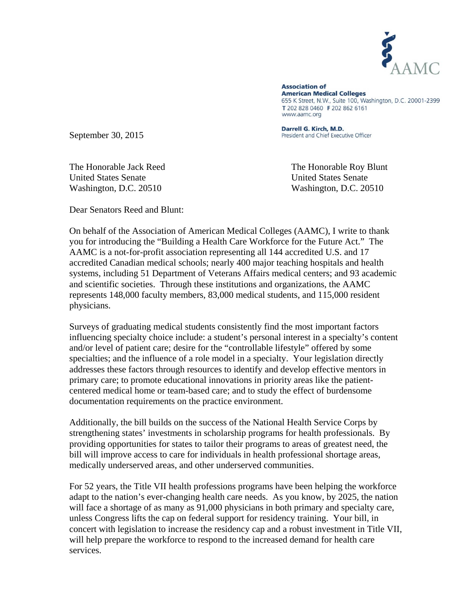

**Association of American Medical Colleges** 655 K Street, N.W., Suite 100, Washington, D.C. 20001-2399 T 202 828 0460 F 202 862 6161 www.aamc.org

September 30, 2015

Darrell G. Kirch, M.D. President and Chief Executive Officer

United States Senate United States Senate Washington, D.C. 20510 Washington, D.C. 20510

The Honorable Jack Reed The Honorable Roy Blunt

Dear Senators Reed and Blunt:

On behalf of the Association of American Medical Colleges (AAMC), I write to thank you for introducing the "Building a Health Care Workforce for the Future Act." The AAMC is a not-for-profit association representing all 144 accredited U.S. and 17 accredited Canadian medical schools; nearly 400 major teaching hospitals and health systems, including 51 Department of Veterans Affairs medical centers; and 93 academic and scientific societies. Through these institutions and organizations, the AAMC represents 148,000 faculty members, 83,000 medical students, and 115,000 resident physicians.

Surveys of graduating medical students consistently find the most important factors influencing specialty choice include: a student's personal interest in a specialty's content and/or level of patient care; desire for the "controllable lifestyle" offered by some specialties; and the influence of a role model in a specialty. Your legislation directly addresses these factors through resources to identify and develop effective mentors in primary care; to promote educational innovations in priority areas like the patientcentered medical home or team-based care; and to study the effect of burdensome documentation requirements on the practice environment.

Additionally, the bill builds on the success of the National Health Service Corps by strengthening states' investments in scholarship programs for health professionals. By providing opportunities for states to tailor their programs to areas of greatest need, the bill will improve access to care for individuals in health professional shortage areas, medically underserved areas, and other underserved communities.

For 52 years, the Title VII health professions programs have been helping the workforce adapt to the nation's ever-changing health care needs. As you know, by 2025, the nation will face a shortage of as many as 91,000 physicians in both primary and specialty care, unless Congress lifts the cap on federal support for residency training. Your bill, in concert with legislation to increase the residency cap and a robust investment in Title VII, will help prepare the workforce to respond to the increased demand for health care services.